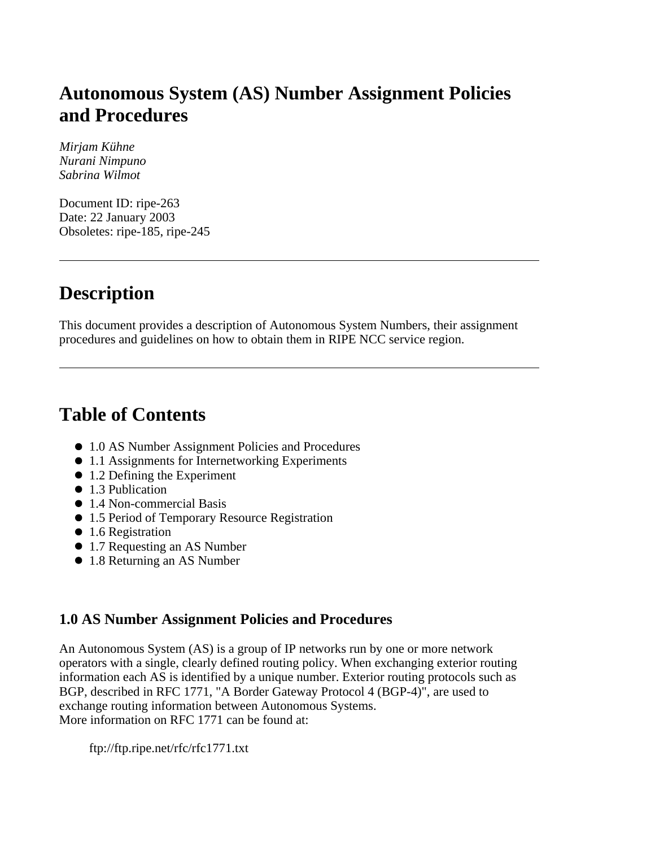# **Autonomous System (AS) Number Assignment Policies and Procedures**

*Mirjam Kühne Nurani Nimpuno Sabrina Wilmot*

Document ID: ripe-263 Date: 22 January 2003 Obsoletes: ripe-185, ripe-245

# **Description**

This document provides a description of Autonomous System Numbers, their assignment procedures and guidelines on how to obtain them in RIPE NCC service region.

# **Table of Contents**

- 1.0 AS Number Assignment Policies and Procedures
- 1.1 Assignments for Internetworking Experiments
- 1.2 Defining the Experiment
- 1.3 Publication
- 1.4 Non-commercial Basis
- 1.5 Period of Temporary Resource Registration
- 1.6 Registration
- 1.7 Requesting an AS Number
- 1.8 Returning an AS Number

#### **1.0 AS Number Assignment Policies and Procedures**

An Autonomous System (AS) is a group of IP networks run by one or more network operators with a single, clearly defined routing policy. When exchanging exterior routing information each AS is identified by a unique number. Exterior routing protocols such as BGP, described in RFC 1771, "A Border Gateway Protocol 4 (BGP-4)", are used to exchange routing information between Autonomous Systems. More information on RFC 1771 can be found at:

ftp://ftp.ripe.net/rfc/rfc1771.txt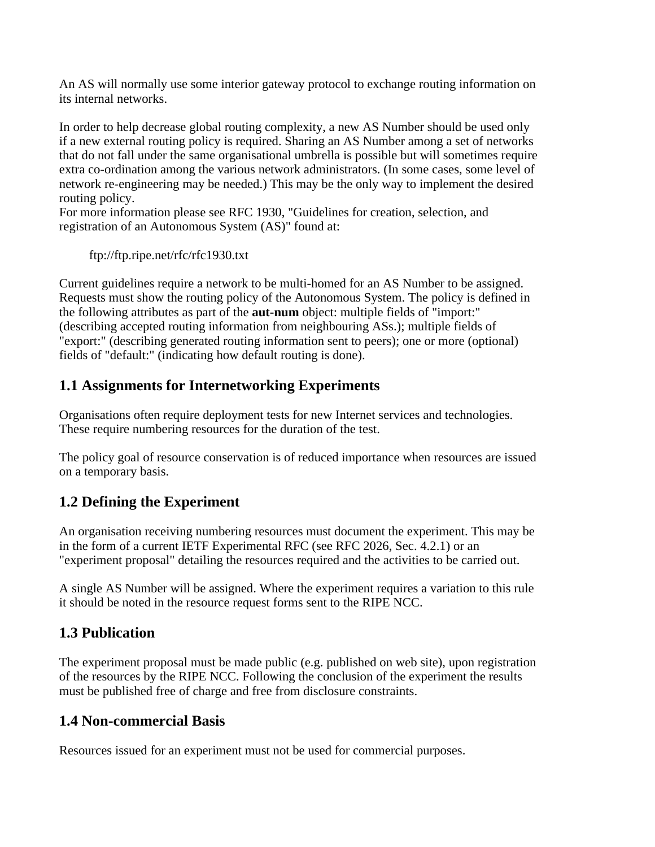An AS will normally use some interior gateway protocol to exchange routing information on its internal networks.

In order to help decrease global routing complexity, a new AS Number should be used only if a new external routing policy is required. Sharing an AS Number among a set of networks that do not fall under the same organisational umbrella is possible but will sometimes require extra co-ordination among the various network administrators. (In some cases, some level of network re-engineering may be needed.) This may be the only way to implement the desired routing policy.

For more information please see RFC 1930, "Guidelines for creation, selection, and registration of an Autonomous System (AS)" found at:

ftp://ftp.ripe.net/rfc/rfc1930.txt

Current guidelines require a network to be multi-homed for an AS Number to be assigned. Requests must show the routing policy of the Autonomous System. The policy is defined in the following attributes as part of the **aut-num** object: multiple fields of "import:" (describing accepted routing information from neighbouring ASs.); multiple fields of "export:" (describing generated routing information sent to peers); one or more (optional) fields of "default:" (indicating how default routing is done).

## **1.1 Assignments for Internetworking Experiments**

Organisations often require deployment tests for new Internet services and technologies. These require numbering resources for the duration of the test.

The policy goal of resource conservation is of reduced importance when resources are issued on a temporary basis.

## **1.2 Defining the Experiment**

An organisation receiving numbering resources must document the experiment. This may be in the form of a current IETF Experimental RFC (see RFC 2026, Sec. 4.2.1) or an "experiment proposal" detailing the resources required and the activities to be carried out.

A single AS Number will be assigned. Where the experiment requires a variation to this rule it should be noted in the resource request forms sent to the RIPE NCC.

## **1.3 Publication**

The experiment proposal must be made public (e.g. published on web site), upon registration of the resources by the RIPE NCC. Following the conclusion of the experiment the results must be published free of charge and free from disclosure constraints.

### **1.4 Non-commercial Basis**

Resources issued for an experiment must not be used for commercial purposes.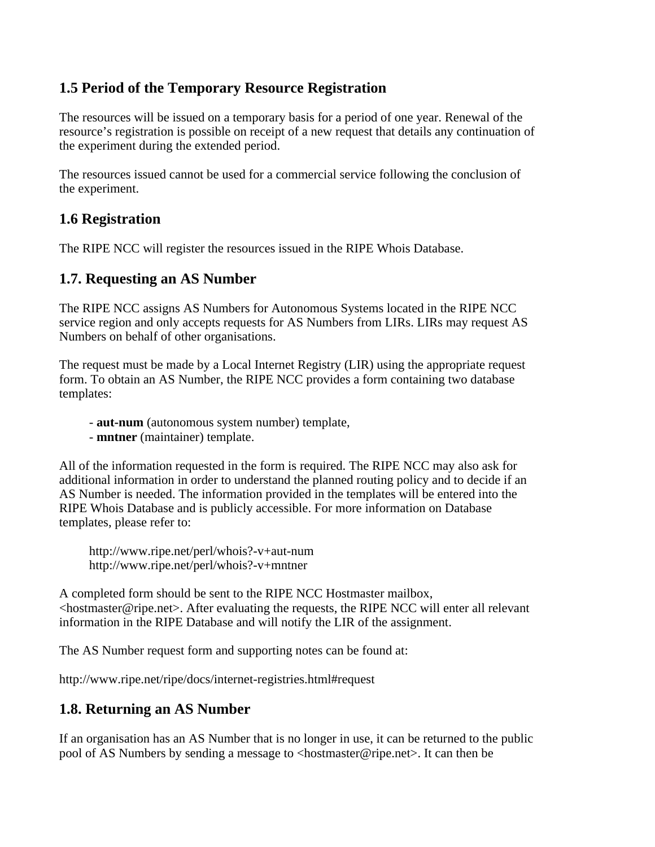### **1.5 Period of the Temporary Resource Registration**

The resources will be issued on a temporary basis for a period of one year. Renewal of the resource's registration is possible on receipt of a new request that details any continuation of the experiment during the extended period.

The resources issued cannot be used for a commercial service following the conclusion of the experiment.

### **1.6 Registration**

The RIPE NCC will register the resources issued in the RIPE Whois Database.

#### **1.7. Requesting an AS Number**

The RIPE NCC assigns AS Numbers for Autonomous Systems located in the RIPE NCC service region and only accepts requests for AS Numbers from LIRs. LIRs may request AS Numbers on behalf of other organisations.

The request must be made by a Local Internet Registry (LIR) using the appropriate request form. To obtain an AS Number, the RIPE NCC provides a form containing two database templates:

- **aut-num** (autonomous system number) template,
- **mntner** (maintainer) template.

All of the information requested in the form is required. The RIPE NCC may also ask for additional information in order to understand the planned routing policy and to decide if an AS Number is needed. The information provided in the templates will be entered into the RIPE Whois Database and is publicly accessible. For more information on Database templates, please refer to:

http://www.ripe.net/perl/whois?-v+aut-num http://www.ripe.net/perl/whois?-v+mntner

A completed form should be sent to the RIPE NCC Hostmaster mailbox,  $\leq$ hostmaster@ripe.net $\geq$ . After evaluating the requests, the RIPE NCC will enter all relevant information in the RIPE Database and will notify the LIR of the assignment.

The AS Number request form and supporting notes can be found at:

http://www.ripe.net/ripe/docs/internet-registries.html#request

#### **1.8. Returning an AS Number**

If an organisation has an AS Number that is no longer in use, it can be returned to the public pool of AS Numbers by sending a message to <hostmaster@ripe.net>. It can then be